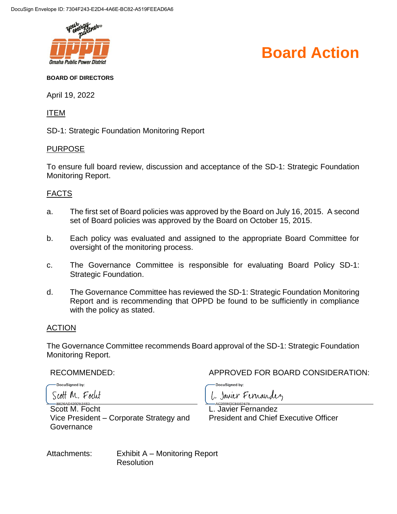

## **Board Action**

#### **BOARD OF DIRECTORS**

April 19, 2022

ITEM

SD-1: Strategic Foundation Monitoring Report

### PURPOSE

To ensure full board review, discussion and acceptance of the SD-1: Strategic Foundation Monitoring Report.

## FACTS

- a. The first set of Board policies was approved by the Board on July 16, 2015. A second set of Board policies was approved by the Board on October 15, 2015.
- b. Each policy was evaluated and assigned to the appropriate Board Committee for oversight of the monitoring process.
- c. The Governance Committee is responsible for evaluating Board Policy SD-1: Strategic Foundation.
- d. The Governance Committee has reviewed the SD-1: Strategic Foundation Monitoring Report and is recommending that OPPD be found to be sufficiently in compliance with the policy as stated.

## ACTION

The Governance Committee recommends Board approval of the SD-1: Strategic Foundation Monitoring Report.

DocuSianed by:

RECOMMENDED: APPROVED FOR BOARD CONSIDERATION:

DocuSianed by:

Scott M. Focut

Scott M. Focht Vice President – Corporate Strategy and **Governance** 

1. Janier Fernandez

L. Javier Fernandez President and Chief Executive Officer

Attachments: Exhibit A – Monitoring Report **Resolution**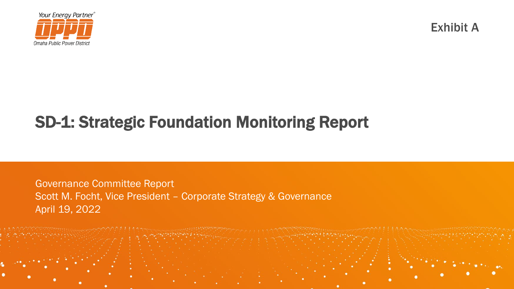

Exhibit A

# SD-1: Strategic Foundation Monitoring Report

Governance Committee Report Scott M. Focht, Vice President – Corporate Strategy & Governance April 19, 2022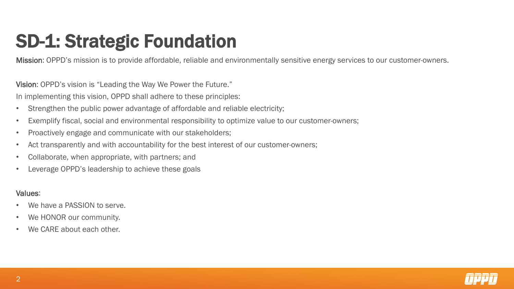# SD-1: Strategic Foundation

Mission: OPPD's mission is to provide affordable, reliable and environmentally sensitive energy services to our customer-owners.

Vision: OPPD's vision is "Leading the Way We Power the Future."

In implementing this vision, OPPD shall adhere to these principles:

- Strengthen the public power advantage of affordable and reliable electricity;
- Exemplify fiscal, social and environmental responsibility to optimize value to our customer-owners;
- Proactively engage and communicate with our stakeholders;
- Act transparently and with accountability for the best interest of our customer-owners;
- Collaborate, when appropriate, with partners; and
- Leverage OPPD's leadership to achieve these goals

## Values:

- We have a PASSION to serve.
- We HONOR our community.
- We CARE about each other.

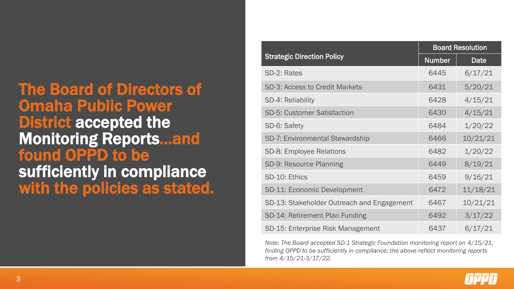# The Board of Directors of Omaha Public Power **District accepted the** Monitoring Reports…and found OPPD to be sufficiently in compliance with the policies as stated.

|                                            | <b>Board Resolution</b> |          |  |
|--------------------------------------------|-------------------------|----------|--|
| <b>Strategic Direction Policy</b>          | <b>Number</b>           | Date     |  |
| SD-2: Rates                                | 6445                    | 6/17/21  |  |
| <b>SD-3: Access to Credit Markets</b>      | 6431                    | 5/20/21  |  |
| SD-4: Reliability                          | 6428                    | 4/15/21  |  |
| <b>SD-5: Customer Satisfaction</b>         | 6430                    | 4/15/21  |  |
| SD-6: Safety                               | 6484                    | 1/20/22  |  |
| <b>SD-7: Environmental Stewardship</b>     | 6466                    | 10/21/21 |  |
| <b>SD-8: Employee Relations</b>            | 6482                    | 1/20/22  |  |
| SD-9: Resource Planning                    | 6449                    | 8/19/21  |  |
| SD-10: Ethics                              | 6459                    | 9/16/21  |  |
| <b>SD-11: Economic Development</b>         | 6472                    | 11/18/21 |  |
| SD-13: Stakeholder Outreach and Engagement | 6467                    | 10/21/21 |  |
| SD-14: Retirement Plan Funding             | 6492                    | 3/17/22  |  |
| SD-15: Enterprise Risk Management          | 6437                    | 6/17/21  |  |

*Note: The Board accepted SD-1 Strategic Foundation monitoring report on 4/15/21, finding OPPD to be sufficiently in compliance; the above reflect monitoring reports from 4/15/21-3/17/22.*

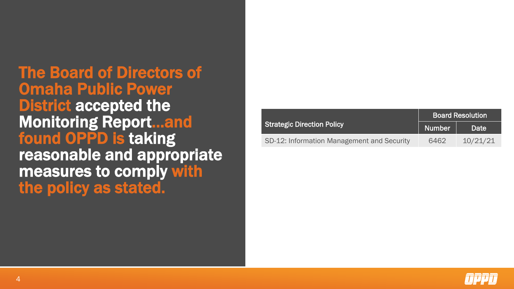The Board of Directors of Omaha Public Power District accepted the Monitoring Report…and found OPPD is taking reasonable and appropriate measures to comply with the policy as stated.

|                                            | <b>Board Resolution</b> |          |  |
|--------------------------------------------|-------------------------|----------|--|
| <b>Strategic Direction Policy</b>          | <b>Number</b>           | Date     |  |
| SD-12: Information Management and Security | 6462                    | 10/21/21 |  |

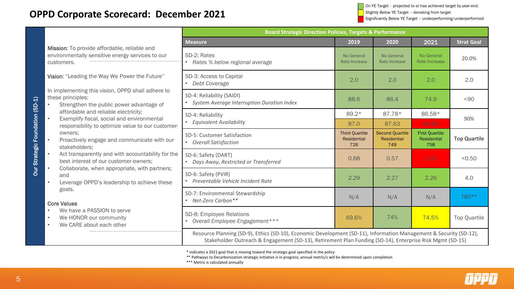On YE Target - projected to or has achieved target by year-end. Slightly Below YE Target – deviating from target Significantly Below YE Target – underperforming/underperformed

## **OPPD Corporate Scorecard: December 2021**

|                                                                                     |                                                                                                                                                                                                                                                                                                                                                                                                                                                                                                                                                                                                                                                                                                                    | <b>Board Strategic Direction Policies, Targets &amp; Performance</b>                                                                                                                                                           |                                                    |                                                     |                                             |                     |
|-------------------------------------------------------------------------------------|--------------------------------------------------------------------------------------------------------------------------------------------------------------------------------------------------------------------------------------------------------------------------------------------------------------------------------------------------------------------------------------------------------------------------------------------------------------------------------------------------------------------------------------------------------------------------------------------------------------------------------------------------------------------------------------------------------------------|--------------------------------------------------------------------------------------------------------------------------------------------------------------------------------------------------------------------------------|----------------------------------------------------|-----------------------------------------------------|---------------------------------------------|---------------------|
|                                                                                     |                                                                                                                                                                                                                                                                                                                                                                                                                                                                                                                                                                                                                                                                                                                    | <b>Measure</b>                                                                                                                                                                                                                 | 2019                                               | 2020                                                | 2021                                        | <b>Strat Goal</b>   |
| Our Strategic Foundation (SD-1)<br>$\bullet$<br>$\bullet$<br>$\bullet$<br>$\bullet$ | Mission: To provide affordable, reliable and<br>environmentally sensitive energy services to our<br>customers.                                                                                                                                                                                                                                                                                                                                                                                                                                                                                                                                                                                                     | SD-2: Rates<br>• Rates % below regional average                                                                                                                                                                                | No General<br>Rate Increase                        | No General<br><b>Rate Increase</b>                  | No General<br>Rate Increase                 | 20.0%               |
|                                                                                     | Vision: "Leading the Way We Power the Future"<br>In implementing this vision, OPPD shall adhere to<br>these principles:<br>Strengthen the public power advantage of<br>affordable and reliable electricity;<br>Exemplify fiscal, social and environmental<br>responsibility to optimize value to our customer-<br>owners;<br>Proactively engage and communicate with our<br>stakeholders;<br>Act transparently and with accountability for the<br>best interest of our customer-owners;<br>Collaborate, when appropriate, with partners;<br>and<br>Leverage OPPD's leadership to achieve these<br>goals.<br><b>Core Values</b><br>We have a PASSION to serve<br>We HONOR our community<br>We CARE about each other | SD-3: Access to Capital<br>• Debt Coverage                                                                                                                                                                                     | 2.0                                                | 2.0                                                 | 2.0                                         | 2.0                 |
|                                                                                     |                                                                                                                                                                                                                                                                                                                                                                                                                                                                                                                                                                                                                                                                                                                    | SD-4: Reliability (SAIDI)<br>• System Average Interruption Duration Index                                                                                                                                                      | 88.6                                               | 86.4                                                | 74.9                                        | $90$                |
|                                                                                     |                                                                                                                                                                                                                                                                                                                                                                                                                                                                                                                                                                                                                                                                                                                    | SD-4: Reliability<br><b>Equivalent Availability</b>                                                                                                                                                                            | $89.2*$                                            | 87.78*                                              | 86.58*                                      | 90%                 |
|                                                                                     |                                                                                                                                                                                                                                                                                                                                                                                                                                                                                                                                                                                                                                                                                                                    |                                                                                                                                                                                                                                | 87.0                                               | 87.63                                               | 84.66                                       |                     |
|                                                                                     |                                                                                                                                                                                                                                                                                                                                                                                                                                                                                                                                                                                                                                                                                                                    | SD-5: Customer Satisfaction<br>• Overall Satisfaction                                                                                                                                                                          | <b>Third Quartile</b><br><b>Residential</b><br>726 | <b>Second Quartile</b><br><b>Residential</b><br>749 | <b>First Quartile</b><br>Residential<br>758 | <b>Top Quartile</b> |
|                                                                                     |                                                                                                                                                                                                                                                                                                                                                                                                                                                                                                                                                                                                                                                                                                                    | SD-6: Safety (DART)<br>• Days Away, Restricted or Transferred                                                                                                                                                                  | 0.68                                               | 0.57                                                | 1.00                                        | < 0.50              |
|                                                                                     |                                                                                                                                                                                                                                                                                                                                                                                                                                                                                                                                                                                                                                                                                                                    | SD-6: Safety (PVIR)<br>• Preventable Vehicle Incident Rate                                                                                                                                                                     | 2.29                                               | 2.27                                                | 2.26                                        | 4.0                 |
|                                                                                     |                                                                                                                                                                                                                                                                                                                                                                                                                                                                                                                                                                                                                                                                                                                    | SD-7: Environmental Stewardship<br>• Net-Zero Carbon**                                                                                                                                                                         | N/A                                                | N/A                                                 | N/A                                         | TBD**               |
|                                                                                     |                                                                                                                                                                                                                                                                                                                                                                                                                                                                                                                                                                                                                                                                                                                    | SD-8: Employee Relations<br>• Overall Employee Engagement***                                                                                                                                                                   | 69.6%                                              | 74%                                                 | 74.5%                                       | <b>Top Quartile</b> |
|                                                                                     |                                                                                                                                                                                                                                                                                                                                                                                                                                                                                                                                                                                                                                                                                                                    | Resource Planning (SD-9), Ethics (SD-10), Economic Development (SD-11), Information Management & Security (SD-12),<br>Stakeholder Outreach & Engagement (SD-13), Retirement Plan Funding (SD-14), Enterprise Risk Mgmt (SD-15) |                                                    |                                                     |                                             |                     |

\* indicates a 2021 goal that is moving toward the strategic goal specified in the policy

\*\* Pathways to Decarbonization strategic initiative is in progress; annual metric/s will be determined upon completion

\*\*\* Metric is calculated annually

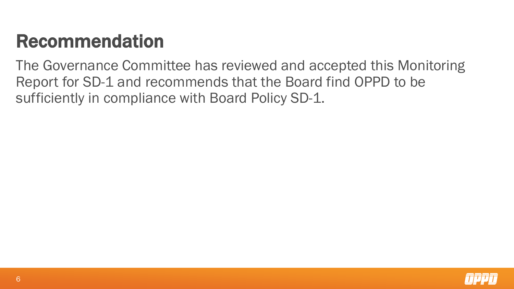# Recommendation

The Governance Committee has reviewed and accepted this Monitoring Report for SD-1 and recommends that the Board find OPPD to be sufficiently in compliance with Board Policy SD-1.

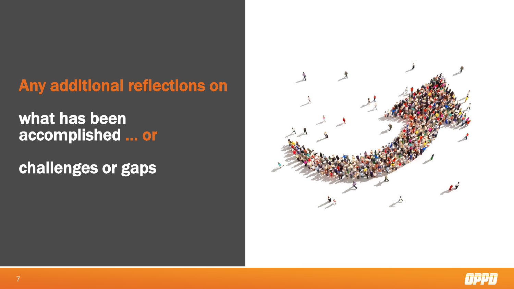# Any additional reflections on

# what has been accomplished … or

challenges or gaps